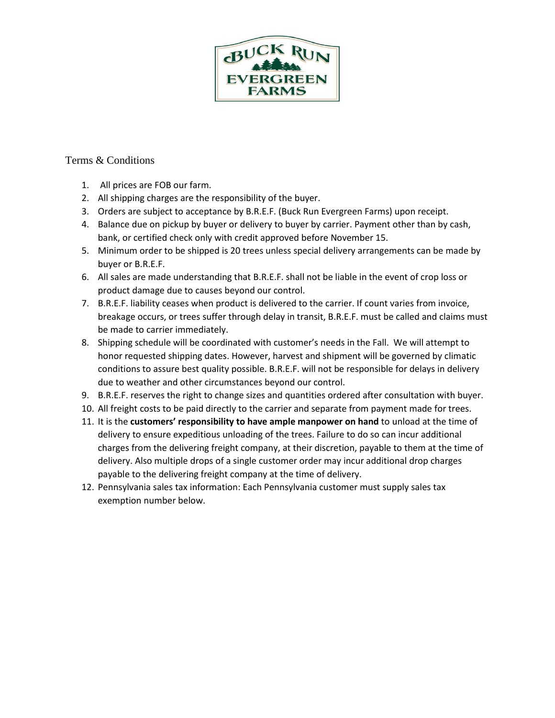

## Terms & Conditions

- 1. All prices are FOB our farm.
- 2. All shipping charges are the responsibility of the buyer.
- 3. Orders are subject to acceptance by B.R.E.F. (Buck Run Evergreen Farms) upon receipt.
- 4. Balance due on pickup by buyer or delivery to buyer by carrier. Payment other than by cash, bank, or certified check only with credit approved before November 15.
- 5. Minimum order to be shipped is 20 trees unless special delivery arrangements can be made by buyer or B.R.E.F.
- 6. All sales are made understanding that B.R.E.F. shall not be liable in the event of crop loss or product damage due to causes beyond our control.
- 7. B.R.E.F. liability ceases when product is delivered to the carrier. If count varies from invoice, breakage occurs, or trees suffer through delay in transit, B.R.E.F. must be called and claims must be made to carrier immediately.
- 8. Shipping schedule will be coordinated with customer's needs in the Fall. We will attempt to honor requested shipping dates. However, harvest and shipment will be governed by climatic conditions to assure best quality possible. B.R.E.F. will not be responsible for delays in delivery due to weather and other circumstances beyond our control.
- 9. B.R.E.F. reserves the right to change sizes and quantities ordered after consultation with buyer.
- 10. All freight costs to be paid directly to the carrier and separate from payment made for trees.
- 11. It is the **customers' responsibility to have ample manpower on hand** to unload at the time of delivery to ensure expeditious unloading of the trees. Failure to do so can incur additional charges from the delivering freight company, at their discretion, payable to them at the time of delivery. Also multiple drops of a single customer order may incur additional drop charges payable to the delivering freight company at the time of delivery.
- 12. Pennsylvania sales tax information: Each Pennsylvania customer must supply sales tax exemption number below.